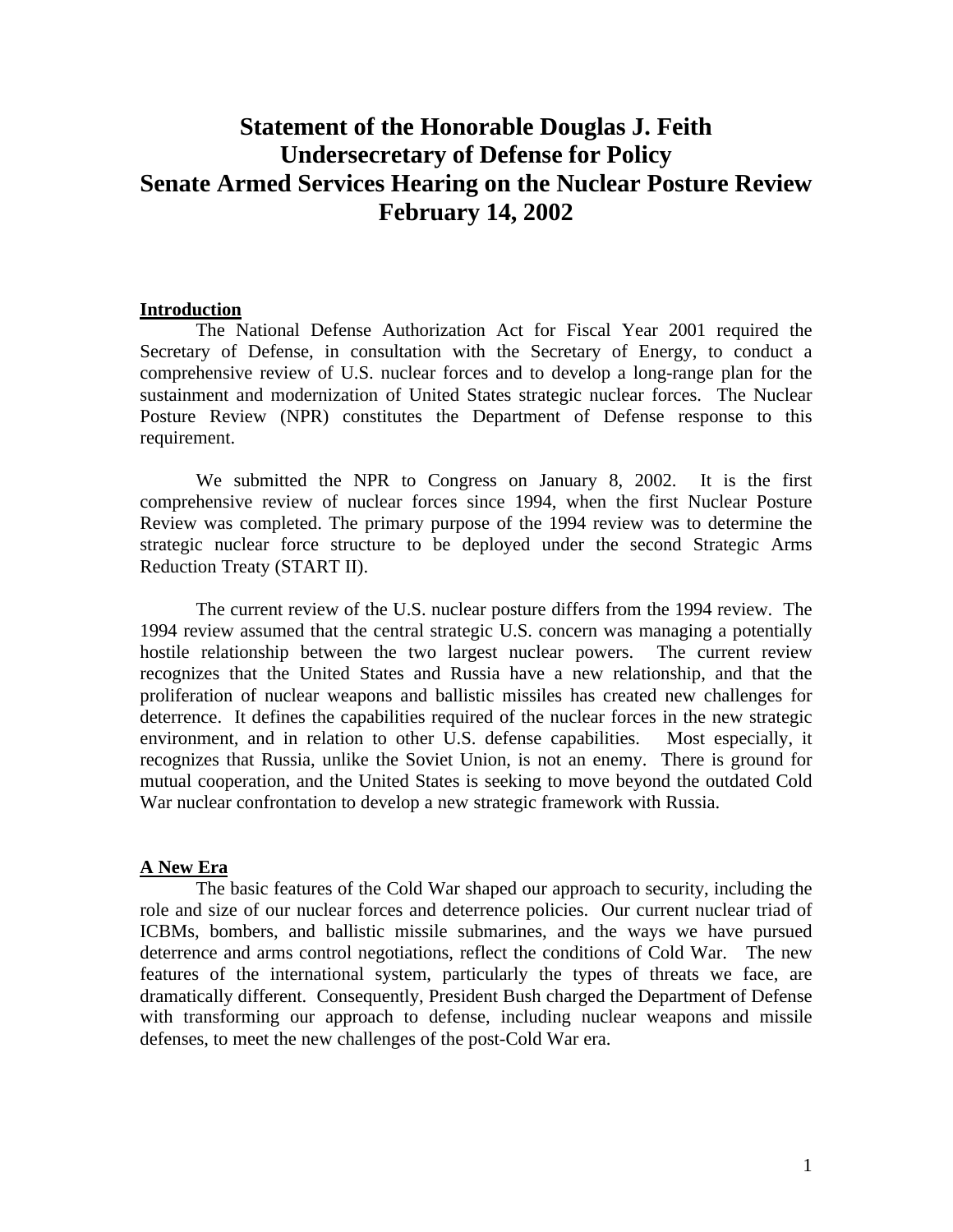# **Statement of the Honorable Douglas J. Feith Undersecretary of Defense for Policy Senate Armed Services Hearing on the Nuclear Posture Review February 14, 2002**

#### **Introduction**

The National Defense Authorization Act for Fiscal Year 2001 required the Secretary of Defense, in consultation with the Secretary of Energy, to conduct a comprehensive review of U.S. nuclear forces and to develop a long-range plan for the sustainment and modernization of United States strategic nuclear forces. The Nuclear Posture Review (NPR) constitutes the Department of Defense response to this requirement.

We submitted the NPR to Congress on January 8, 2002. It is the first comprehensive review of nuclear forces since 1994, when the first Nuclear Posture Review was completed. The primary purpose of the 1994 review was to determine the strategic nuclear force structure to be deployed under the second Strategic Arms Reduction Treaty (START II).

The current review of the U.S. nuclear posture differs from the 1994 review. The 1994 review assumed that the central strategic U.S. concern was managing a potentially hostile relationship between the two largest nuclear powers. The current review recognizes that the United States and Russia have a new relationship, and that the proliferation of nuclear weapons and ballistic missiles has created new challenges for deterrence. It defines the capabilities required of the nuclear forces in the new strategic environment, and in relation to other U.S. defense capabilities. Most especially, it recognizes that Russia, unlike the Soviet Union, is not an enemy. There is ground for mutual cooperation, and the United States is seeking to move beyond the outdated Cold War nuclear confrontation to develop a new strategic framework with Russia.

## **A New Era**

The basic features of the Cold War shaped our approach to security, including the role and size of our nuclear forces and deterrence policies. Our current nuclear triad of ICBMs, bombers, and ballistic missile submarines, and the ways we have pursued deterrence and arms control negotiations, reflect the conditions of Cold War. The new features of the international system, particularly the types of threats we face, are dramatically different. Consequently, President Bush charged the Department of Defense with transforming our approach to defense, including nuclear weapons and missile defenses, to meet the new challenges of the post-Cold War era.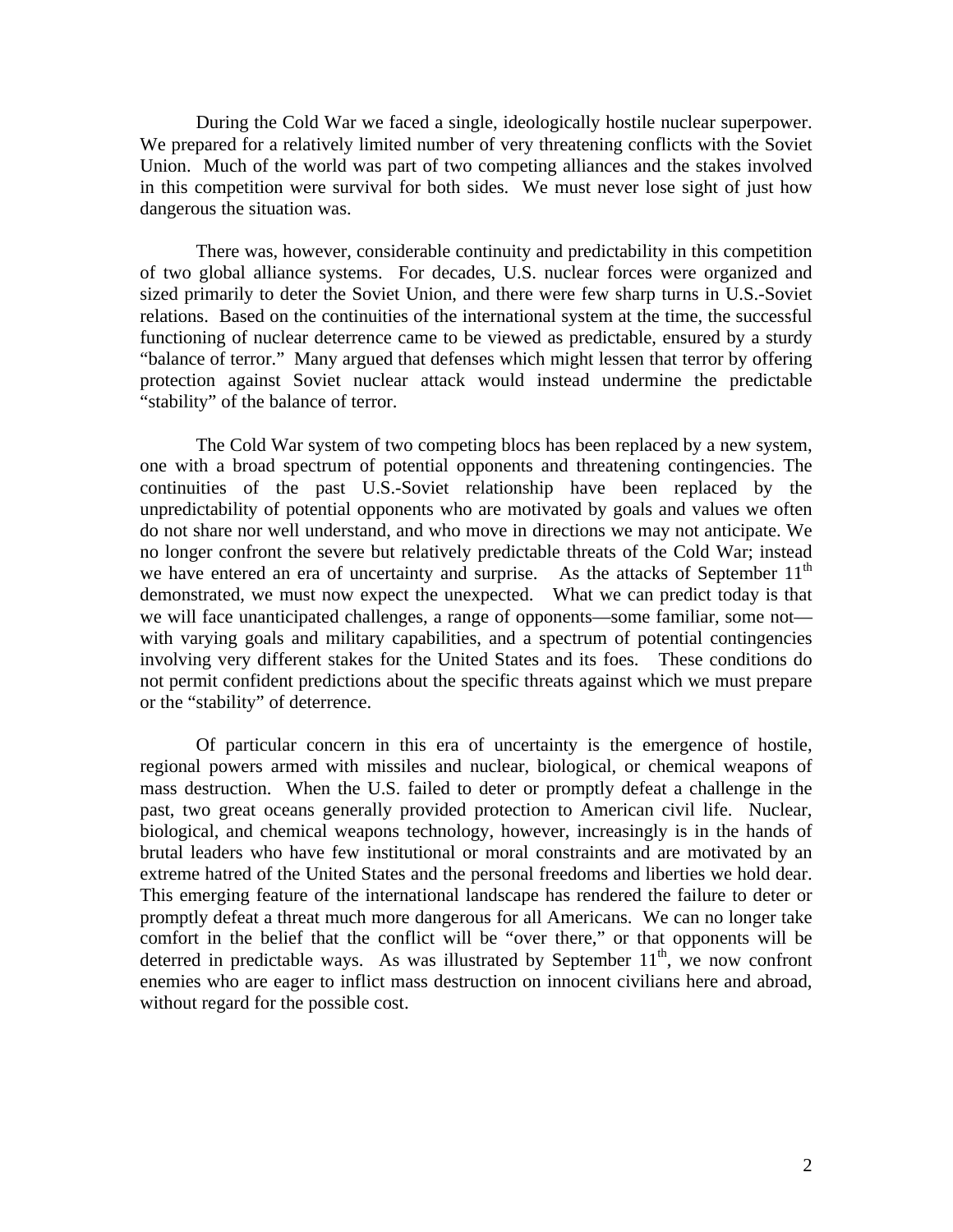During the Cold War we faced a single, ideologically hostile nuclear superpower. We prepared for a relatively limited number of very threatening conflicts with the Soviet Union. Much of the world was part of two competing alliances and the stakes involved in this competition were survival for both sides. We must never lose sight of just how dangerous the situation was.

There was, however, considerable continuity and predictability in this competition of two global alliance systems. For decades, U.S. nuclear forces were organized and sized primarily to deter the Soviet Union, and there were few sharp turns in U.S.-Soviet relations. Based on the continuities of the international system at the time, the successful functioning of nuclear deterrence came to be viewed as predictable, ensured by a sturdy "balance of terror." Many argued that defenses which might lessen that terror by offering protection against Soviet nuclear attack would instead undermine the predictable "stability" of the balance of terror.

The Cold War system of two competing blocs has been replaced by a new system, one with a broad spectrum of potential opponents and threatening contingencies. The continuities of the past U.S.-Soviet relationship have been replaced by the unpredictability of potential opponents who are motivated by goals and values we often do not share nor well understand, and who move in directions we may not anticipate. We no longer confront the severe but relatively predictable threats of the Cold War; instead we have entered an era of uncertainty and surprise. As the attacks of September  $11<sup>th</sup>$ demonstrated, we must now expect the unexpected. What we can predict today is that we will face unanticipated challenges, a range of opponents—some familiar, some not with varying goals and military capabilities, and a spectrum of potential contingencies involving very different stakes for the United States and its foes. These conditions do not permit confident predictions about the specific threats against which we must prepare or the "stability" of deterrence.

Of particular concern in this era of uncertainty is the emergence of hostile, regional powers armed with missiles and nuclear, biological, or chemical weapons of mass destruction. When the U.S. failed to deter or promptly defeat a challenge in the past, two great oceans generally provided protection to American civil life. Nuclear, biological, and chemical weapons technology, however, increasingly is in the hands of brutal leaders who have few institutional or moral constraints and are motivated by an extreme hatred of the United States and the personal freedoms and liberties we hold dear. This emerging feature of the international landscape has rendered the failure to deter or promptly defeat a threat much more dangerous for all Americans. We can no longer take comfort in the belief that the conflict will be "over there," or that opponents will be deterred in predictable ways. As was illustrated by September  $11<sup>th</sup>$ , we now confront enemies who are eager to inflict mass destruction on innocent civilians here and abroad, without regard for the possible cost.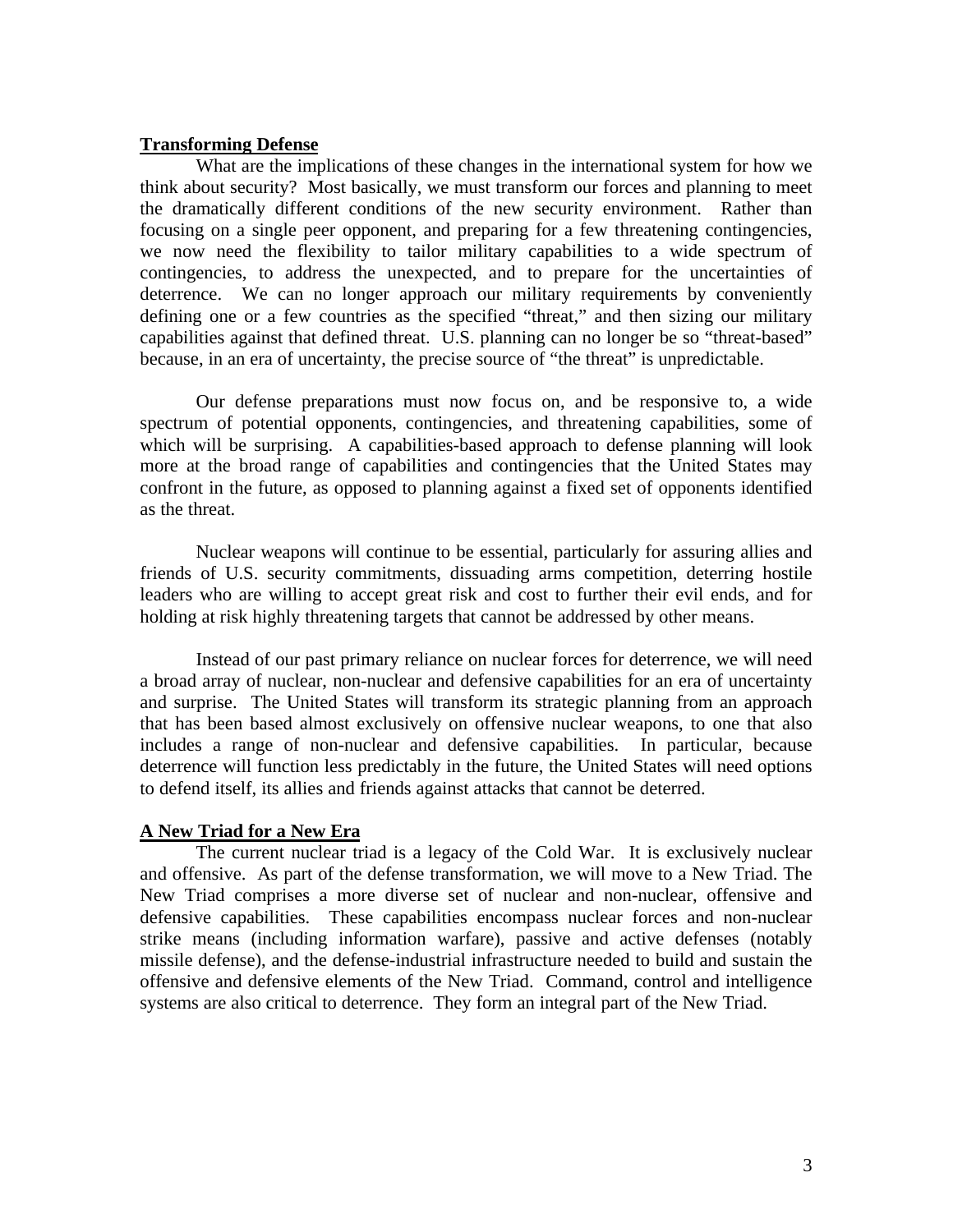### **Transforming Defense**

What are the implications of these changes in the international system for how we think about security? Most basically, we must transform our forces and planning to meet the dramatically different conditions of the new security environment. Rather than focusing on a single peer opponent, and preparing for a few threatening contingencies, we now need the flexibility to tailor military capabilities to a wide spectrum of contingencies, to address the unexpected, and to prepare for the uncertainties of deterrence. We can no longer approach our military requirements by conveniently defining one or a few countries as the specified "threat," and then sizing our military capabilities against that defined threat. U.S. planning can no longer be so "threat-based" because, in an era of uncertainty, the precise source of "the threat" is unpredictable.

Our defense preparations must now focus on, and be responsive to, a wide spectrum of potential opponents, contingencies, and threatening capabilities, some of which will be surprising. A capabilities-based approach to defense planning will look more at the broad range of capabilities and contingencies that the United States may confront in the future, as opposed to planning against a fixed set of opponents identified as the threat.

Nuclear weapons will continue to be essential, particularly for assuring allies and friends of U.S. security commitments, dissuading arms competition, deterring hostile leaders who are willing to accept great risk and cost to further their evil ends, and for holding at risk highly threatening targets that cannot be addressed by other means.

Instead of our past primary reliance on nuclear forces for deterrence, we will need a broad array of nuclear, non-nuclear and defensive capabilities for an era of uncertainty and surprise. The United States will transform its strategic planning from an approach that has been based almost exclusively on offensive nuclear weapons, to one that also includes a range of non-nuclear and defensive capabilities. In particular, because deterrence will function less predictably in the future, the United States will need options to defend itself, its allies and friends against attacks that cannot be deterred.

### **A New Triad for a New Era**

The current nuclear triad is a legacy of the Cold War. It is exclusively nuclear and offensive. As part of the defense transformation, we will move to a New Triad. The New Triad comprises a more diverse set of nuclear and non-nuclear, offensive and defensive capabilities. These capabilities encompass nuclear forces and non-nuclear strike means (including information warfare), passive and active defenses (notably missile defense), and the defense-industrial infrastructure needed to build and sustain the offensive and defensive elements of the New Triad. Command, control and intelligence systems are also critical to deterrence. They form an integral part of the New Triad.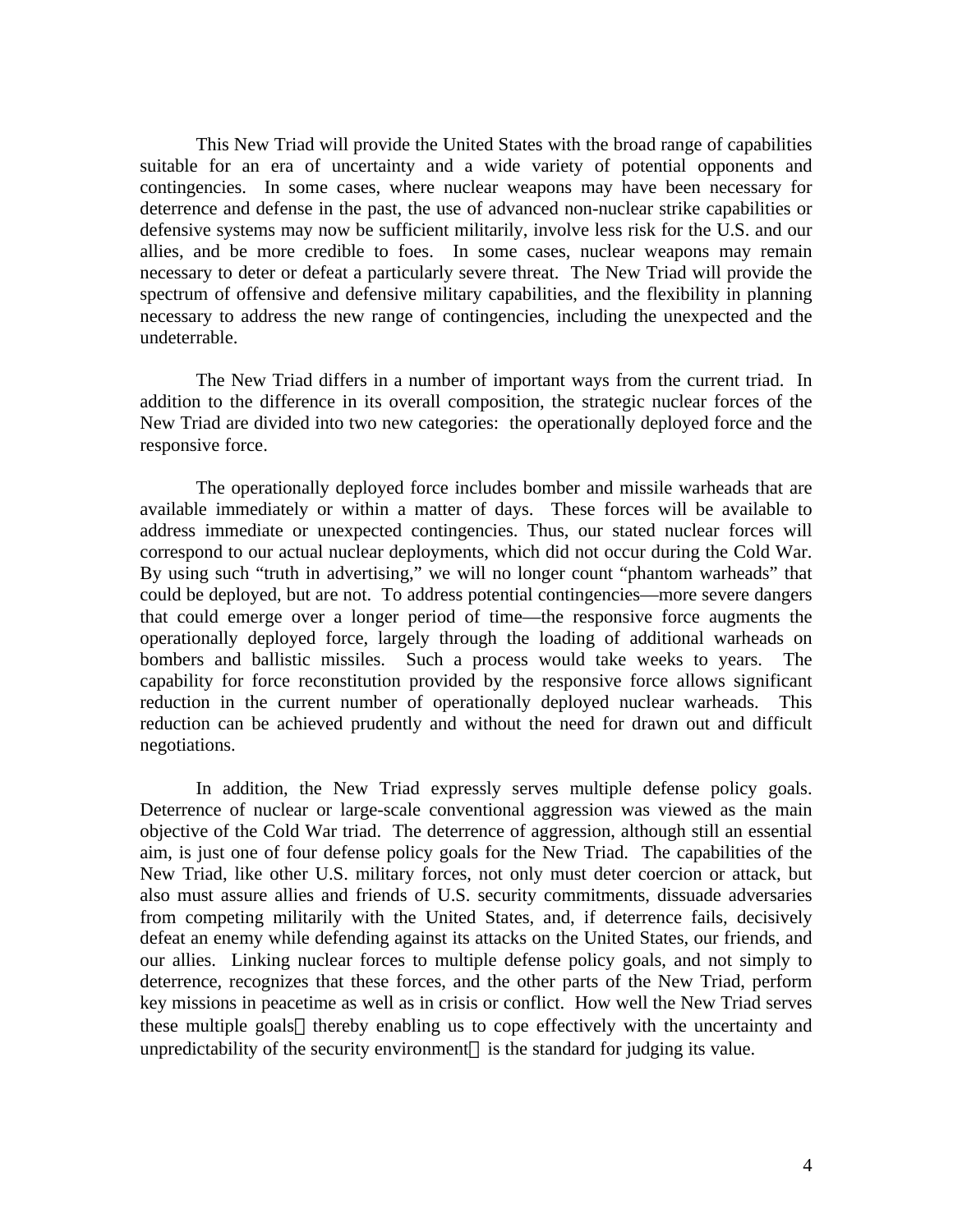This New Triad will provide the United States with the broad range of capabilities suitable for an era of uncertainty and a wide variety of potential opponents and contingencies. In some cases, where nuclear weapons may have been necessary for deterrence and defense in the past, the use of advanced non-nuclear strike capabilities or defensive systems may now be sufficient militarily, involve less risk for the U.S. and our allies, and be more credible to foes. In some cases, nuclear weapons may remain necessary to deter or defeat a particularly severe threat. The New Triad will provide the spectrum of offensive and defensive military capabilities, and the flexibility in planning necessary to address the new range of contingencies, including the unexpected and the undeterrable.

The New Triad differs in a number of important ways from the current triad. In addition to the difference in its overall composition, the strategic nuclear forces of the New Triad are divided into two new categories: the operationally deployed force and the responsive force.

The operationally deployed force includes bomber and missile warheads that are available immediately or within a matter of days. These forces will be available to address immediate or unexpected contingencies. Thus, our stated nuclear forces will correspond to our actual nuclear deployments, which did not occur during the Cold War. By using such "truth in advertising," we will no longer count "phantom warheads" that could be deployed, but are not. To address potential contingencies—more severe dangers that could emerge over a longer period of time—the responsive force augments the operationally deployed force, largely through the loading of additional warheads on bombers and ballistic missiles. Such a process would take weeks to years. The capability for force reconstitution provided by the responsive force allows significant reduction in the current number of operationally deployed nuclear warheads. This reduction can be achieved prudently and without the need for drawn out and difficult negotiations.

In addition, the New Triad expressly serves multiple defense policy goals. Deterrence of nuclear or large-scale conventional aggression was viewed as the main objective of the Cold War triad. The deterrence of aggression, although still an essential aim, is just one of four defense policy goals for the New Triad. The capabilities of the New Triad, like other U.S. military forces, not only must deter coercion or attack, but also must assure allies and friends of U.S. security commitments, dissuade adversaries from competing militarily with the United States, and, if deterrence fails, decisively defeat an enemy while defending against its attacks on the United States, our friends, and our allies. Linking nuclear forces to multiple defense policy goals, and not simply to deterrence, recognizes that these forces, and the other parts of the New Triad, perform key missions in peacetime as well as in crisis or conflict. How well the New Triad serves these multiple goals—thereby enabling us to cope effectively with the uncertainty and unpredictability of the security environment—is the standard for judging its value.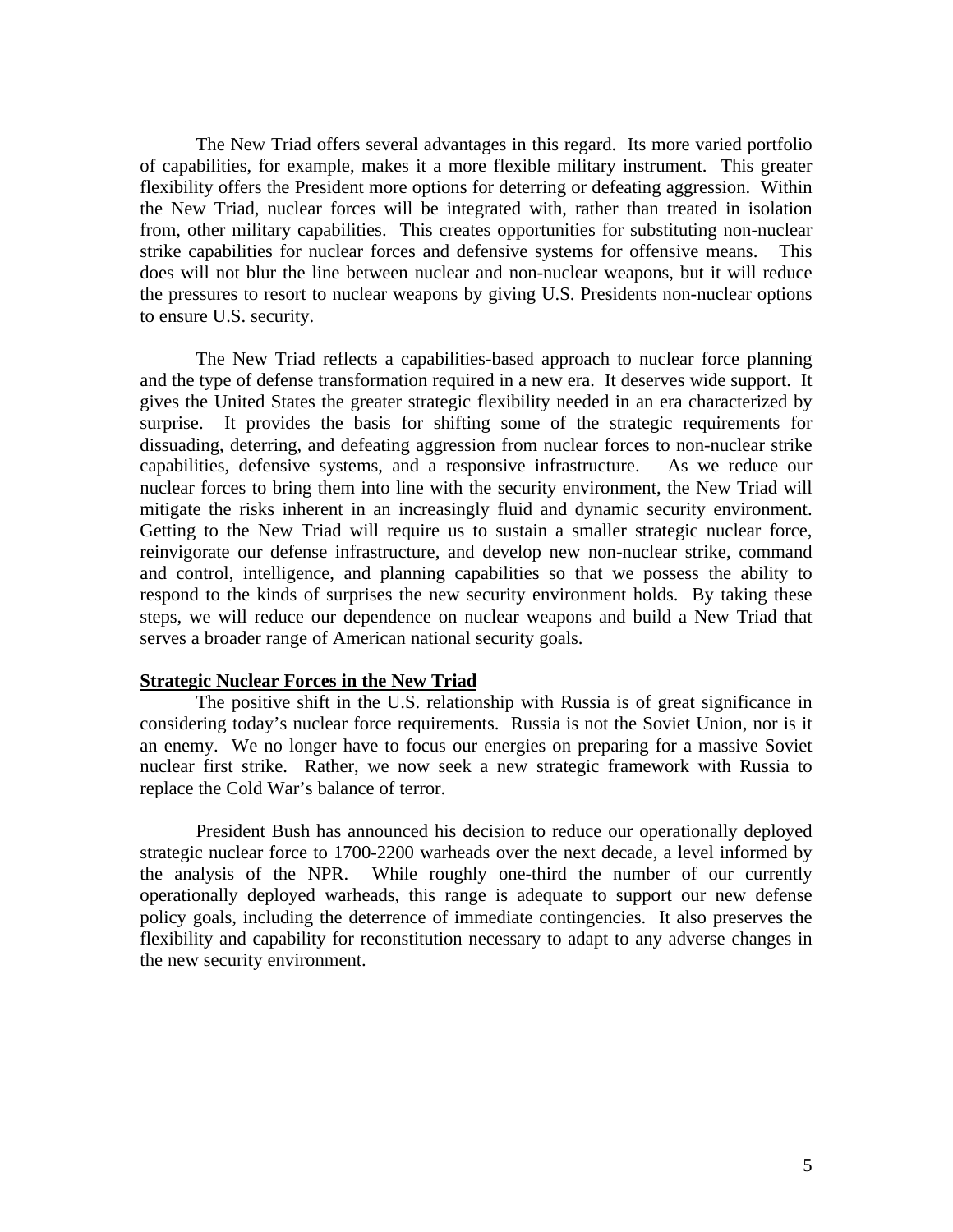The New Triad offers several advantages in this regard. Its more varied portfolio of capabilities, for example, makes it a more flexible military instrument. This greater flexibility offers the President more options for deterring or defeating aggression. Within the New Triad, nuclear forces will be integrated with, rather than treated in isolation from, other military capabilities. This creates opportunities for substituting non-nuclear strike capabilities for nuclear forces and defensive systems for offensive means. This does will not blur the line between nuclear and non-nuclear weapons, but it will reduce the pressures to resort to nuclear weapons by giving U.S. Presidents non-nuclear options to ensure U.S. security.

The New Triad reflects a capabilities-based approach to nuclear force planning and the type of defense transformation required in a new era. It deserves wide support. It gives the United States the greater strategic flexibility needed in an era characterized by surprise. It provides the basis for shifting some of the strategic requirements for dissuading, deterring, and defeating aggression from nuclear forces to non-nuclear strike capabilities, defensive systems, and a responsive infrastructure. As we reduce our nuclear forces to bring them into line with the security environment, the New Triad will mitigate the risks inherent in an increasingly fluid and dynamic security environment. Getting to the New Triad will require us to sustain a smaller strategic nuclear force, reinvigorate our defense infrastructure, and develop new non-nuclear strike, command and control, intelligence, and planning capabilities so that we possess the ability to respond to the kinds of surprises the new security environment holds. By taking these steps, we will reduce our dependence on nuclear weapons and build a New Triad that serves a broader range of American national security goals.

#### **Strategic Nuclear Forces in the New Triad**

The positive shift in the U.S. relationship with Russia is of great significance in considering today's nuclear force requirements. Russia is not the Soviet Union, nor is it an enemy. We no longer have to focus our energies on preparing for a massive Soviet nuclear first strike. Rather, we now seek a new strategic framework with Russia to replace the Cold War's balance of terror.

President Bush has announced his decision to reduce our operationally deployed strategic nuclear force to 1700-2200 warheads over the next decade, a level informed by the analysis of the NPR. While roughly one-third the number of our currently operationally deployed warheads, this range is adequate to support our new defense policy goals, including the deterrence of immediate contingencies. It also preserves the flexibility and capability for reconstitution necessary to adapt to any adverse changes in the new security environment.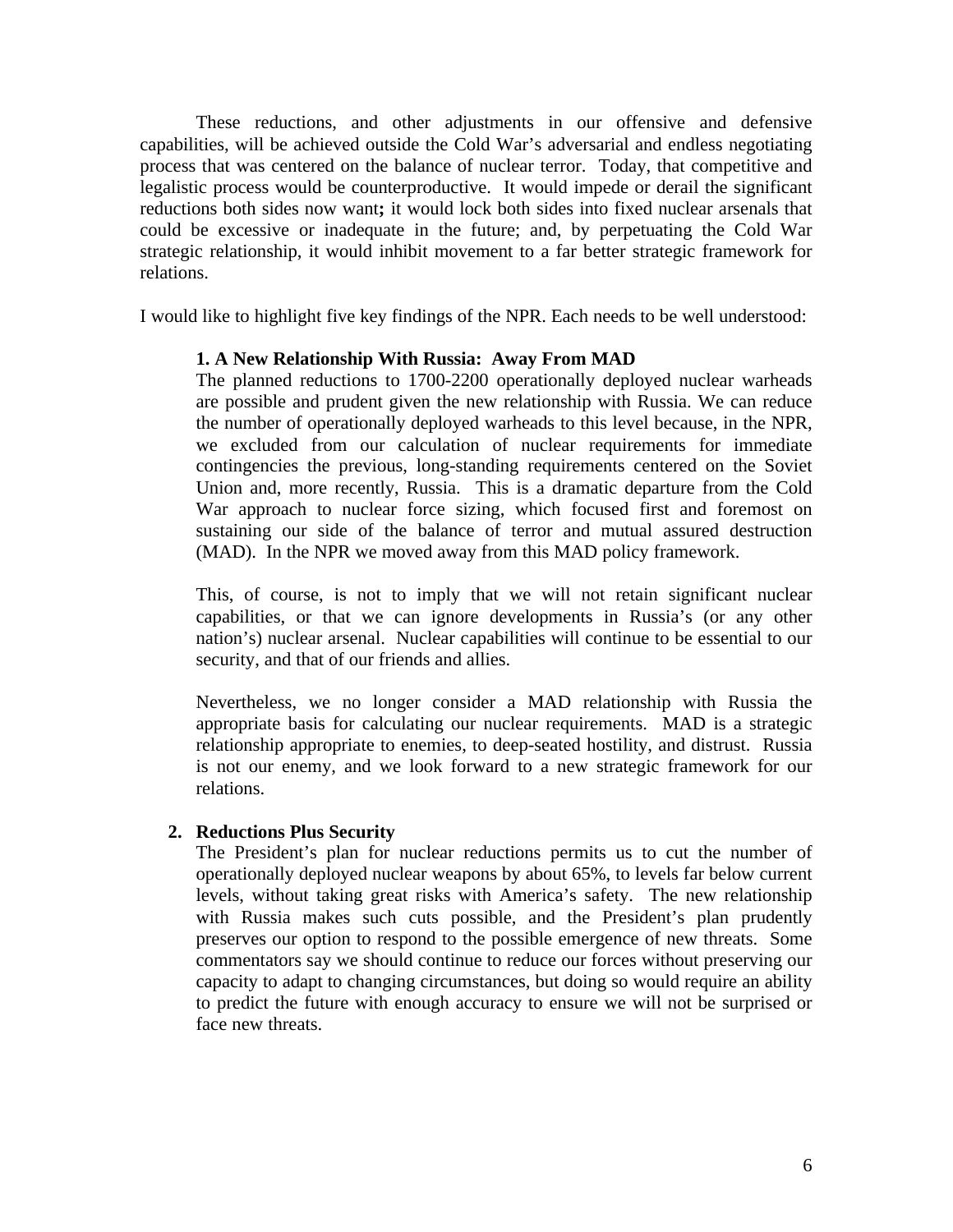These reductions, and other adjustments in our offensive and defensive capabilities, will be achieved outside the Cold War's adversarial and endless negotiating process that was centered on the balance of nuclear terror. Today, that competitive and legalistic process would be counterproductive. It would impede or derail the significant reductions both sides now want**;** it would lock both sides into fixed nuclear arsenals that could be excessive or inadequate in the future; and, by perpetuating the Cold War strategic relationship, it would inhibit movement to a far better strategic framework for relations.

I would like to highlight five key findings of the NPR. Each needs to be well understood:

# **1. A New Relationship With Russia: Away From MAD**

The planned reductions to 1700-2200 operationally deployed nuclear warheads are possible and prudent given the new relationship with Russia. We can reduce the number of operationally deployed warheads to this level because, in the NPR, we excluded from our calculation of nuclear requirements for immediate contingencies the previous, long-standing requirements centered on the Soviet Union and, more recently, Russia. This is a dramatic departure from the Cold War approach to nuclear force sizing, which focused first and foremost on sustaining our side of the balance of terror and mutual assured destruction (MAD). In the NPR we moved away from this MAD policy framework.

This, of course, is not to imply that we will not retain significant nuclear capabilities, or that we can ignore developments in Russia's (or any other nation's) nuclear arsenal. Nuclear capabilities will continue to be essential to our security, and that of our friends and allies.

Nevertheless, we no longer consider a MAD relationship with Russia the appropriate basis for calculating our nuclear requirements. MAD is a strategic relationship appropriate to enemies, to deep-seated hostility, and distrust. Russia is not our enemy, and we look forward to a new strategic framework for our relations.

# **2. Reductions Plus Security**

The President's plan for nuclear reductions permits us to cut the number of operationally deployed nuclear weapons by about 65%, to levels far below current levels, without taking great risks with America's safety. The new relationship with Russia makes such cuts possible, and the President's plan prudently preserves our option to respond to the possible emergence of new threats. Some commentators say we should continue to reduce our forces without preserving our capacity to adapt to changing circumstances, but doing so would require an ability to predict the future with enough accuracy to ensure we will not be surprised or face new threats.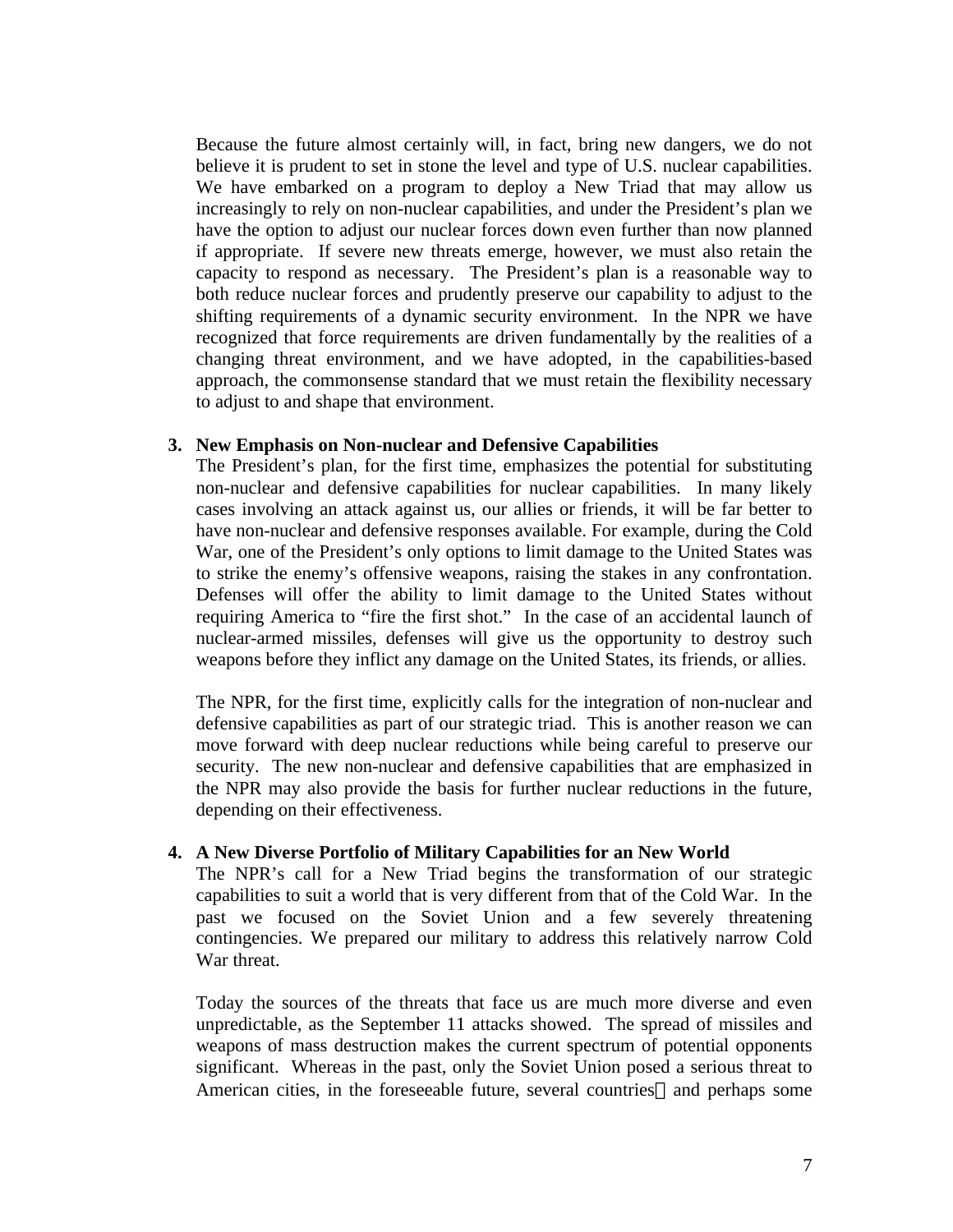Because the future almost certainly will, in fact, bring new dangers, we do not believe it is prudent to set in stone the level and type of U.S. nuclear capabilities. We have embarked on a program to deploy a New Triad that may allow us increasingly to rely on non-nuclear capabilities, and under the President's plan we have the option to adjust our nuclear forces down even further than now planned if appropriate. If severe new threats emerge, however, we must also retain the capacity to respond as necessary. The President's plan is a reasonable way to both reduce nuclear forces and prudently preserve our capability to adjust to the shifting requirements of a dynamic security environment. In the NPR we have recognized that force requirements are driven fundamentally by the realities of a changing threat environment, and we have adopted, in the capabilities-based approach, the commonsense standard that we must retain the flexibility necessary to adjust to and shape that environment.

## **3. New Emphasis on Non-nuclear and Defensive Capabilities**

The President's plan, for the first time, emphasizes the potential for substituting non-nuclear and defensive capabilities for nuclear capabilities. In many likely cases involving an attack against us, our allies or friends, it will be far better to have non-nuclear and defensive responses available. For example, during the Cold War, one of the President's only options to limit damage to the United States was to strike the enemy's offensive weapons, raising the stakes in any confrontation. Defenses will offer the ability to limit damage to the United States without requiring America to "fire the first shot." In the case of an accidental launch of nuclear-armed missiles, defenses will give us the opportunity to destroy such weapons before they inflict any damage on the United States, its friends, or allies.

The NPR, for the first time, explicitly calls for the integration of non-nuclear and defensive capabilities as part of our strategic triad. This is another reason we can move forward with deep nuclear reductions while being careful to preserve our security. The new non-nuclear and defensive capabilities that are emphasized in the NPR may also provide the basis for further nuclear reductions in the future, depending on their effectiveness.

# **4. A New Diverse Portfolio of Military Capabilities for an New World**

The NPR's call for a New Triad begins the transformation of our strategic capabilities to suit a world that is very different from that of the Cold War. In the past we focused on the Soviet Union and a few severely threatening contingencies. We prepared our military to address this relatively narrow Cold War threat.

Today the sources of the threats that face us are much more diverse and even unpredictable, as the September 11 attacks showed. The spread of missiles and weapons of mass destruction makes the current spectrum of potential opponents significant. Whereas in the past, only the Soviet Union posed a serious threat to American cities, in the foreseeable future, several countries—and perhaps some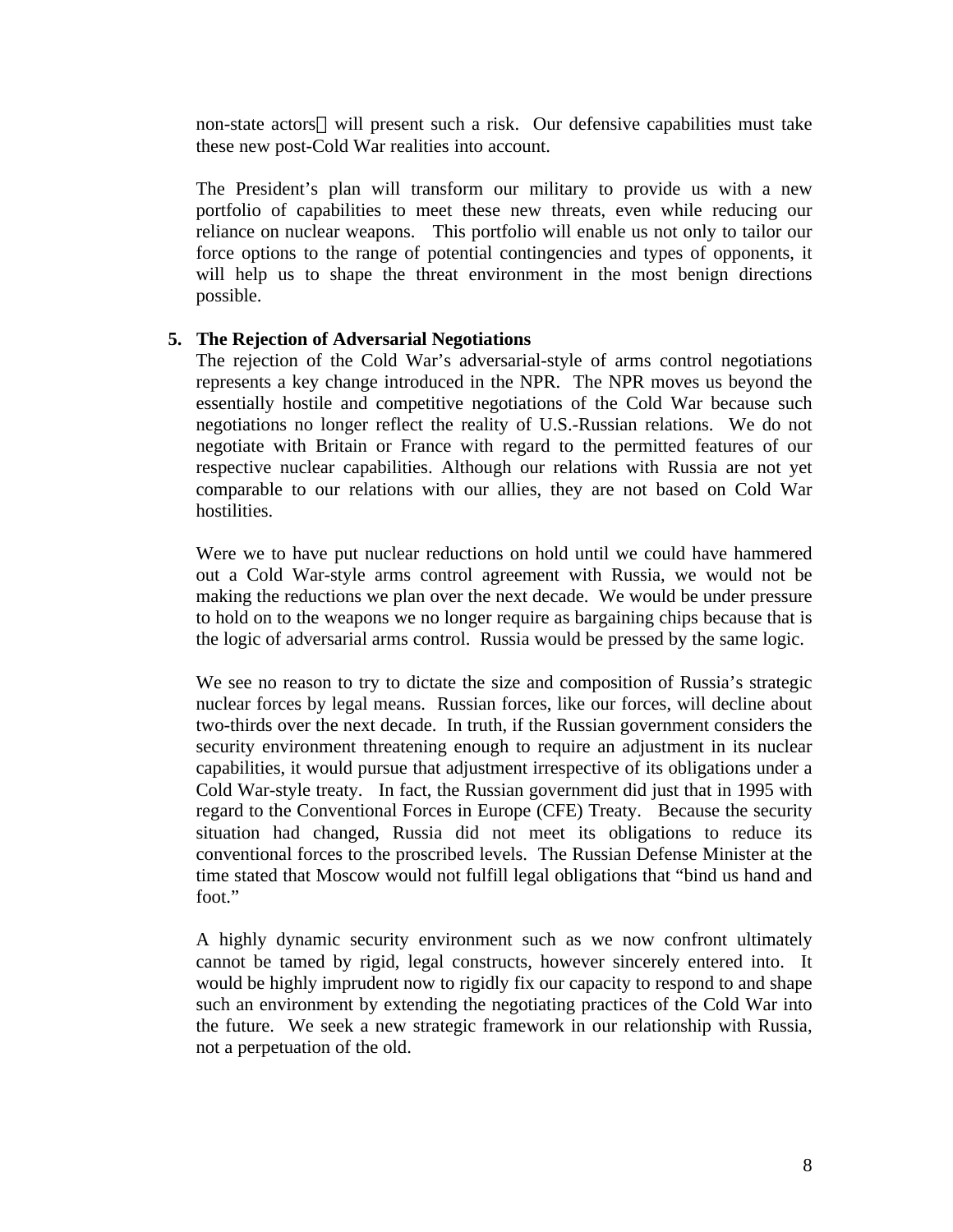non-state actors—will present such a risk. Our defensive capabilities must take these new post-Cold War realities into account.

The President's plan will transform our military to provide us with a new portfolio of capabilities to meet these new threats, even while reducing our reliance on nuclear weapons. This portfolio will enable us not only to tailor our force options to the range of potential contingencies and types of opponents, it will help us to shape the threat environment in the most benign directions possible.

## **5. The Rejection of Adversarial Negotiations**

The rejection of the Cold War's adversarial-style of arms control negotiations represents a key change introduced in the NPR. The NPR moves us beyond the essentially hostile and competitive negotiations of the Cold War because such negotiations no longer reflect the reality of U.S.-Russian relations. We do not negotiate with Britain or France with regard to the permitted features of our respective nuclear capabilities. Although our relations with Russia are not yet comparable to our relations with our allies, they are not based on Cold War hostilities.

Were we to have put nuclear reductions on hold until we could have hammered out a Cold War-style arms control agreement with Russia, we would not be making the reductions we plan over the next decade. We would be under pressure to hold on to the weapons we no longer require as bargaining chips because that is the logic of adversarial arms control. Russia would be pressed by the same logic.

We see no reason to try to dictate the size and composition of Russia's strategic nuclear forces by legal means. Russian forces, like our forces, will decline about two-thirds over the next decade. In truth, if the Russian government considers the security environment threatening enough to require an adjustment in its nuclear capabilities, it would pursue that adjustment irrespective of its obligations under a Cold War-style treaty. In fact, the Russian government did just that in 1995 with regard to the Conventional Forces in Europe (CFE) Treaty. Because the security situation had changed, Russia did not meet its obligations to reduce its conventional forces to the proscribed levels. The Russian Defense Minister at the time stated that Moscow would not fulfill legal obligations that "bind us hand and foot."

A highly dynamic security environment such as we now confront ultimately cannot be tamed by rigid, legal constructs, however sincerely entered into. It would be highly imprudent now to rigidly fix our capacity to respond to and shape such an environment by extending the negotiating practices of the Cold War into the future. We seek a new strategic framework in our relationship with Russia, not a perpetuation of the old.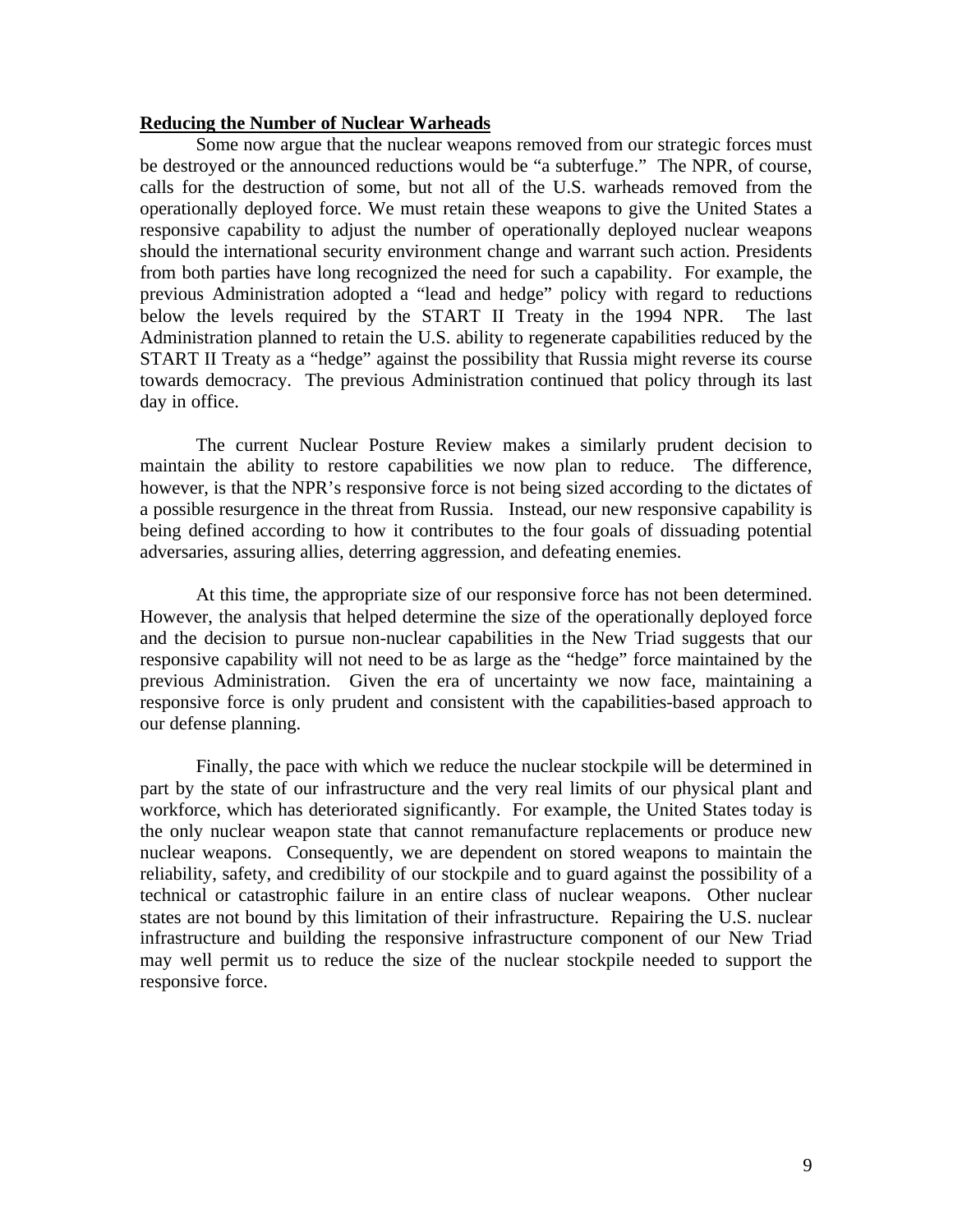#### **Reducing the Number of Nuclear Warheads**

Some now argue that the nuclear weapons removed from our strategic forces must be destroyed or the announced reductions would be "a subterfuge." The NPR, of course, calls for the destruction of some, but not all of the U.S. warheads removed from the operationally deployed force. We must retain these weapons to give the United States a responsive capability to adjust the number of operationally deployed nuclear weapons should the international security environment change and warrant such action. Presidents from both parties have long recognized the need for such a capability. For example, the previous Administration adopted a "lead and hedge" policy with regard to reductions below the levels required by the START II Treaty in the 1994 NPR. The last Administration planned to retain the U.S. ability to regenerate capabilities reduced by the START II Treaty as a "hedge" against the possibility that Russia might reverse its course towards democracy. The previous Administration continued that policy through its last day in office.

The current Nuclear Posture Review makes a similarly prudent decision to maintain the ability to restore capabilities we now plan to reduce. The difference, however, is that the NPR's responsive force is not being sized according to the dictates of a possible resurgence in the threat from Russia. Instead, our new responsive capability is being defined according to how it contributes to the four goals of dissuading potential adversaries, assuring allies, deterring aggression, and defeating enemies.

At this time, the appropriate size of our responsive force has not been determined. However, the analysis that helped determine the size of the operationally deployed force and the decision to pursue non-nuclear capabilities in the New Triad suggests that our responsive capability will not need to be as large as the "hedge" force maintained by the previous Administration. Given the era of uncertainty we now face, maintaining a responsive force is only prudent and consistent with the capabilities-based approach to our defense planning.

Finally, the pace with which we reduce the nuclear stockpile will be determined in part by the state of our infrastructure and the very real limits of our physical plant and workforce, which has deteriorated significantly. For example, the United States today is the only nuclear weapon state that cannot remanufacture replacements or produce new nuclear weapons. Consequently, we are dependent on stored weapons to maintain the reliability, safety, and credibility of our stockpile and to guard against the possibility of a technical or catastrophic failure in an entire class of nuclear weapons. Other nuclear states are not bound by this limitation of their infrastructure. Repairing the U.S. nuclear infrastructure and building the responsive infrastructure component of our New Triad may well permit us to reduce the size of the nuclear stockpile needed to support the responsive force.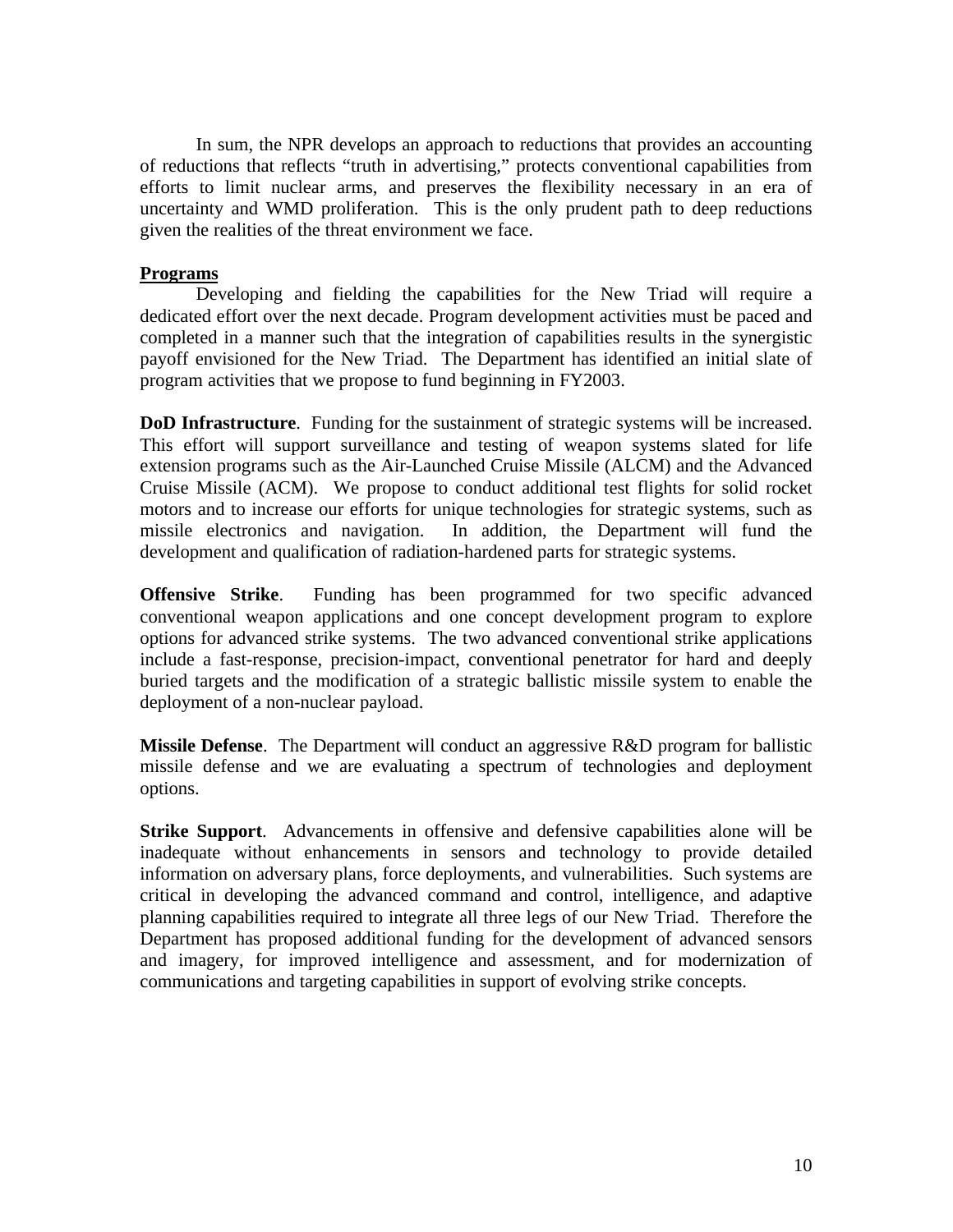In sum, the NPR develops an approach to reductions that provides an accounting of reductions that reflects "truth in advertising," protects conventional capabilities from efforts to limit nuclear arms, and preserves the flexibility necessary in an era of uncertainty and WMD proliferation. This is the only prudent path to deep reductions given the realities of the threat environment we face.

## **Programs**

Developing and fielding the capabilities for the New Triad will require a dedicated effort over the next decade. Program development activities must be paced and completed in a manner such that the integration of capabilities results in the synergistic payoff envisioned for the New Triad. The Department has identified an initial slate of program activities that we propose to fund beginning in FY2003.

**DoD Infrastructure**. Funding for the sustainment of strategic systems will be increased. This effort will support surveillance and testing of weapon systems slated for life extension programs such as the Air-Launched Cruise Missile (ALCM) and the Advanced Cruise Missile (ACM). We propose to conduct additional test flights for solid rocket motors and to increase our efforts for unique technologies for strategic systems, such as missile electronics and navigation. In addition, the Department will fund the development and qualification of radiation-hardened parts for strategic systems.

**Offensive Strike**. Funding has been programmed for two specific advanced conventional weapon applications and one concept development program to explore options for advanced strike systems. The two advanced conventional strike applications include a fast-response, precision-impact, conventional penetrator for hard and deeply buried targets and the modification of a strategic ballistic missile system to enable the deployment of a non-nuclear payload.

**Missile Defense**. The Department will conduct an aggressive R&D program for ballistic missile defense and we are evaluating a spectrum of technologies and deployment options.

**Strike Support**. Advancements in offensive and defensive capabilities alone will be inadequate without enhancements in sensors and technology to provide detailed information on adversary plans, force deployments, and vulnerabilities. Such systems are critical in developing the advanced command and control, intelligence, and adaptive planning capabilities required to integrate all three legs of our New Triad. Therefore the Department has proposed additional funding for the development of advanced sensors and imagery, for improved intelligence and assessment, and for modernization of communications and targeting capabilities in support of evolving strike concepts.